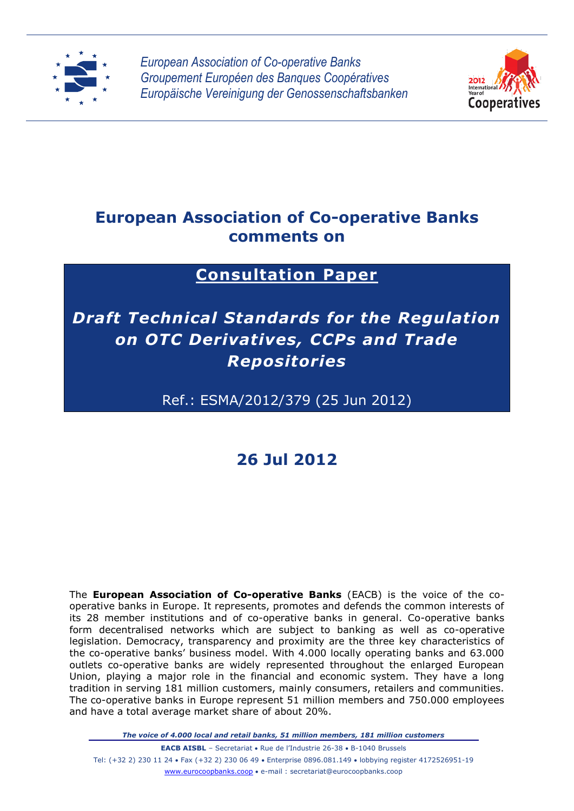

*European Association of Co-operative Banks Groupement Européen des Banques Coopératives Europäische Vereinigung der Genossenschaftsbanken*



# **European Association of Co-operative Banks comments on**

# **Consultation Paper**

# *Draft Technical Standards for the Regulation on OTC Derivatives, CCPs and Trade Repositories*

# Ref.: ESMA/2012/379 (25 Jun 2012)

# **26 Jul 2012**

The **European Association of Co-operative Banks** (EACB) is the voice of the cooperative banks in Europe. It represents, promotes and defends the common interests of its 28 member institutions and of co-operative banks in general. Co-operative banks form decentralised networks which are subject to banking as well as co-operative legislation. Democracy, transparency and proximity are the three key characteristics of the co-operative banks' business model. With 4.000 locally operating banks and 63.000 outlets co-operative banks are widely represented throughout the enlarged European Union, playing a major role in the financial and economic system. They have a long tradition in serving 181 million customers, mainly consumers, retailers and communities. The co-operative banks in Europe represent 51 million members and 750.000 employees and have a total average market share of about 20%.

*The voice of 4.000 local and retail banks, 51 million members, 181 million customers*

**EACB AISBL** – Secretariat • Rue de l'Industrie 26-38 • B-1040 Brussels Tel: (+32 2) 230 11 24 • Fax (+32 2) 230 06 49 • Enterprise 0896.081.149 • lobbying register 4172526951-19 www.eurocoopbanks.coop e-mail : secretariat@eurocoopbanks.coop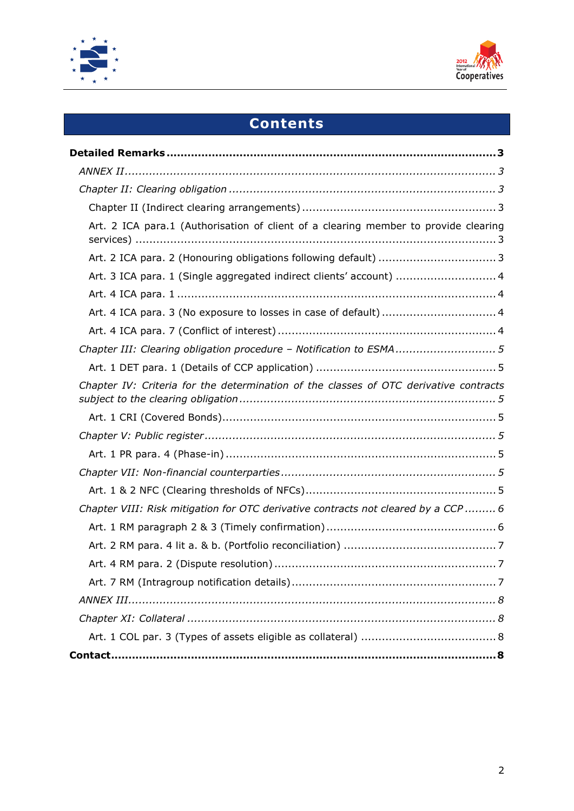



# **Contents**

| Art. 2 ICA para.1 (Authorisation of client of a clearing member to provide clearing   |
|---------------------------------------------------------------------------------------|
|                                                                                       |
| Art. 3 ICA para. 1 (Single aggregated indirect clients' account)  4                   |
|                                                                                       |
|                                                                                       |
|                                                                                       |
| Chapter III: Clearing obligation procedure - Notification to ESMA5                    |
|                                                                                       |
| Chapter IV: Criteria for the determination of the classes of OTC derivative contracts |
|                                                                                       |
|                                                                                       |
|                                                                                       |
|                                                                                       |
|                                                                                       |
| Chapter VIII: Risk mitigation for OTC derivative contracts not cleared by a CCP  6    |
|                                                                                       |
|                                                                                       |
|                                                                                       |
|                                                                                       |
|                                                                                       |
|                                                                                       |
|                                                                                       |
|                                                                                       |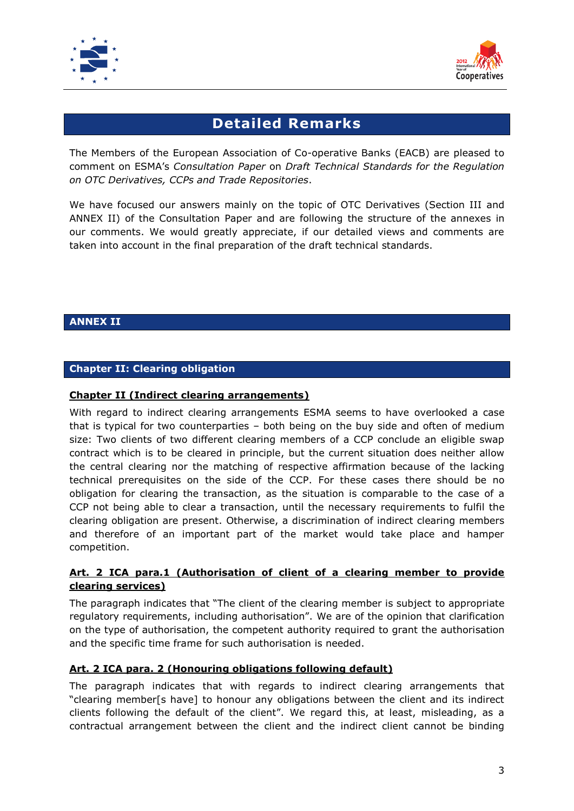



# **Detailed Remarks**

<span id="page-2-0"></span>The Members of the European Association of Co-operative Banks (EACB) are pleased to comment on ESMA's *Consultation Paper* on *Draft Technical Standards for the Regulation on OTC Derivatives, CCPs and Trade Repositories*.

We have focused our answers mainly on the topic of OTC Derivatives (Section III and ANNEX II) of the Consultation Paper and are following the structure of the annexes in our comments. We would greatly appreciate, if our detailed views and comments are taken into account in the final preparation of the draft technical standards.

# <span id="page-2-1"></span>**ANNEX II**

# <span id="page-2-2"></span>**Chapter II: Clearing obligation**

#### <span id="page-2-3"></span>**Chapter II (Indirect clearing arrangements)**

With regard to indirect clearing arrangements ESMA seems to have overlooked a case that is typical for two counterparties – both being on the buy side and often of medium size: Two clients of two different clearing members of a CCP conclude an eligible swap contract which is to be cleared in principle, but the current situation does neither allow the central clearing nor the matching of respective affirmation because of the lacking technical prerequisites on the side of the CCP. For these cases there should be no obligation for clearing the transaction, as the situation is comparable to the case of a CCP not being able to clear a transaction, until the necessary requirements to fulfil the clearing obligation are present. Otherwise, a discrimination of indirect clearing members and therefore of an important part of the market would take place and hamper competition.

# <span id="page-2-4"></span>**Art. 2 ICA para.1 (Authorisation of client of a clearing member to provide clearing services)**

The paragraph indicates that "The client of the clearing member is subject to appropriate regulatory requirements, including authorisation". We are of the opinion that clarification on the type of authorisation, the competent authority required to grant the authorisation and the specific time frame for such authorisation is needed.

# <span id="page-2-5"></span>**Art. 2 ICA para. 2 (Honouring obligations following default)**

The paragraph indicates that with regards to indirect clearing arrangements that "clearing member[s have] to honour any obligations between the client and its indirect clients following the default of the client". We regard this, at least, misleading, as a contractual arrangement between the client and the indirect client cannot be binding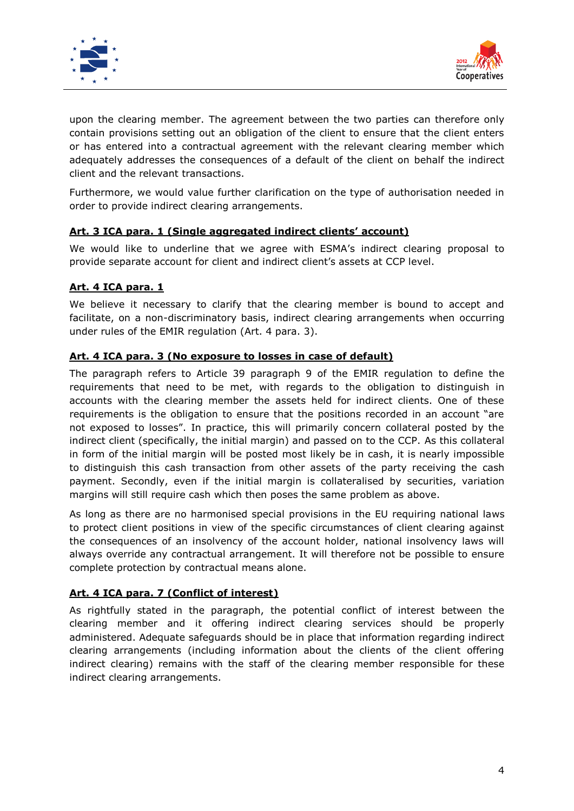



upon the clearing member. The agreement between the two parties can therefore only contain provisions setting out an obligation of the client to ensure that the client enters or has entered into a contractual agreement with the relevant clearing member which adequately addresses the consequences of a default of the client on behalf the indirect client and the relevant transactions.

Furthermore, we would value further clarification on the type of authorisation needed in order to provide indirect clearing arrangements.

# <span id="page-3-0"></span>**Art. 3 ICA para. 1 (Single aggregated indirect clients' account)**

We would like to underline that we agree with ESMA's indirect clearing proposal to provide separate account for client and indirect client's assets at CCP level.

# <span id="page-3-1"></span>**Art. 4 ICA para. 1**

We believe it necessary to clarify that the clearing member is bound to accept and facilitate, on a non-discriminatory basis, indirect clearing arrangements when occurring under rules of the EMIR regulation (Art. 4 para. 3).

# <span id="page-3-2"></span>**Art. 4 ICA para. 3 (No exposure to losses in case of default)**

The paragraph refers to Article 39 paragraph 9 of the EMIR regulation to define the requirements that need to be met, with regards to the obligation to distinguish in accounts with the clearing member the assets held for indirect clients. One of these requirements is the obligation to ensure that the positions recorded in an account "are not exposed to losses". In practice, this will primarily concern collateral posted by the indirect client (specifically, the initial margin) and passed on to the CCP. As this collateral in form of the initial margin will be posted most likely be in cash, it is nearly impossible to distinguish this cash transaction from other assets of the party receiving the cash payment. Secondly, even if the initial margin is collateralised by securities, variation margins will still require cash which then poses the same problem as above.

As long as there are no harmonised special provisions in the EU requiring national laws to protect client positions in view of the specific circumstances of client clearing against the consequences of an insolvency of the account holder, national insolvency laws will always override any contractual arrangement. It will therefore not be possible to ensure complete protection by contractual means alone.

# <span id="page-3-3"></span>**Art. 4 ICA para. 7 (Conflict of interest)**

As rightfully stated in the paragraph, the potential conflict of interest between the clearing member and it offering indirect clearing services should be properly administered. Adequate safeguards should be in place that information regarding indirect clearing arrangements (including information about the clients of the client offering indirect clearing) remains with the staff of the clearing member responsible for these indirect clearing arrangements.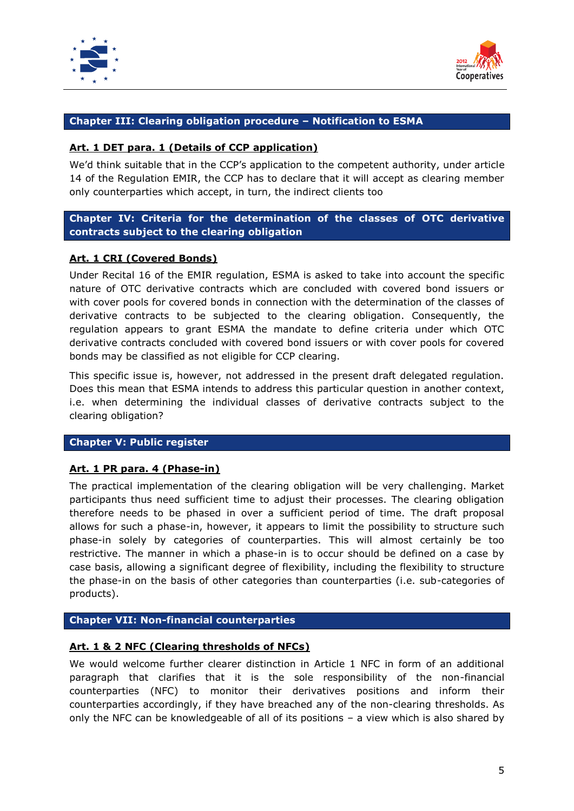



# <span id="page-4-0"></span>**Chapter III: Clearing obligation procedure – Notification to ESMA**

#### <span id="page-4-1"></span>**Art. 1 DET para. 1 (Details of CCP application)**

We'd think suitable that in the CCP's application to the competent authority, under article 14 of the Regulation EMIR, the CCP has to declare that it will accept as clearing member only counterparties which accept, in turn, the indirect clients too

# <span id="page-4-2"></span>**Chapter IV: Criteria for the determination of the classes of OTC derivative contracts subject to the clearing obligation**

#### <span id="page-4-3"></span>**Art. 1 CRI (Covered Bonds)**

Under Recital 16 of the EMIR regulation, ESMA is asked to take into account the specific nature of OTC derivative contracts which are concluded with covered bond issuers or with cover pools for covered bonds in connection with the determination of the classes of derivative contracts to be subjected to the clearing obligation. Consequently, the regulation appears to grant ESMA the mandate to define criteria under which OTC derivative contracts concluded with covered bond issuers or with cover pools for covered bonds may be classified as not eligible for CCP clearing.

This specific issue is, however, not addressed in the present draft delegated regulation. Does this mean that ESMA intends to address this particular question in another context, i.e. when determining the individual classes of derivative contracts subject to the clearing obligation?

#### <span id="page-4-4"></span>**Chapter V: Public register**

#### <span id="page-4-5"></span>**Art. 1 PR para. 4 (Phase-in)**

The practical implementation of the clearing obligation will be very challenging. Market participants thus need sufficient time to adjust their processes. The clearing obligation therefore needs to be phased in over a sufficient period of time. The draft proposal allows for such a phase-in, however, it appears to limit the possibility to structure such phase-in solely by categories of counterparties. This will almost certainly be too restrictive. The manner in which a phase-in is to occur should be defined on a case by case basis, allowing a significant degree of flexibility, including the flexibility to structure the phase-in on the basis of other categories than counterparties (i.e. sub-categories of products).

#### <span id="page-4-6"></span>**Chapter VII: Non-financial counterparties**

#### <span id="page-4-7"></span>**Art. 1 & 2 NFC (Clearing thresholds of NFCs)**

We would welcome further clearer distinction in Article 1 NFC in form of an additional paragraph that clarifies that it is the sole responsibility of the non-financial counterparties (NFC) to monitor their derivatives positions and inform their counterparties accordingly, if they have breached any of the non-clearing thresholds. As only the NFC can be knowledgeable of all of its positions – a view which is also shared by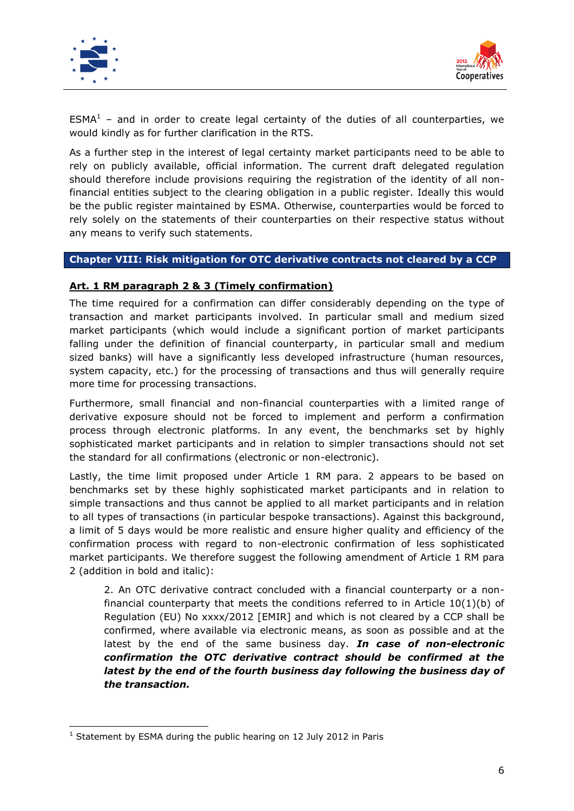

-



 $ESMA<sup>1</sup>$  – and in order to create legal certainty of the duties of all counterparties, we would kindly as for further clarification in the RTS.

As a further step in the interest of legal certainty market participants need to be able to rely on publicly available, official information. The current draft delegated regulation should therefore include provisions requiring the registration of the identity of all nonfinancial entities subject to the clearing obligation in a public register. Ideally this would be the public register maintained by ESMA. Otherwise, counterparties would be forced to rely solely on the statements of their counterparties on their respective status without any means to verify such statements.

# <span id="page-5-0"></span>**Chapter VIII: Risk mitigation for OTC derivative contracts not cleared by a CCP**

#### <span id="page-5-1"></span>**Art. 1 RM paragraph 2 & 3 (Timely confirmation)**

The time required for a confirmation can differ considerably depending on the type of transaction and market participants involved. In particular small and medium sized market participants (which would include a significant portion of market participants falling under the definition of financial counterparty, in particular small and medium sized banks) will have a significantly less developed infrastructure (human resources, system capacity, etc.) for the processing of transactions and thus will generally require more time for processing transactions.

Furthermore, small financial and non-financial counterparties with a limited range of derivative exposure should not be forced to implement and perform a confirmation process through electronic platforms. In any event, the benchmarks set by highly sophisticated market participants and in relation to simpler transactions should not set the standard for all confirmations (electronic or non-electronic).

Lastly, the time limit proposed under Article 1 RM para. 2 appears to be based on benchmarks set by these highly sophisticated market participants and in relation to simple transactions and thus cannot be applied to all market participants and in relation to all types of transactions (in particular bespoke transactions). Against this background, a limit of 5 days would be more realistic and ensure higher quality and efficiency of the confirmation process with regard to non-electronic confirmation of less sophisticated market participants. We therefore suggest the following amendment of Article 1 RM para 2 (addition in bold and italic):

2. An OTC derivative contract concluded with a financial counterparty or a nonfinancial counterparty that meets the conditions referred to in Article  $10(1)(b)$  of Regulation (EU) No xxxx/2012 [EMIR] and which is not cleared by a CCP shall be confirmed, where available via electronic means, as soon as possible and at the latest by the end of the same business day. *In case of non-electronic confirmation the OTC derivative contract should be confirmed at the latest by the end of the fourth business day following the business day of the transaction.*

<sup>&</sup>lt;sup>1</sup> Statement by ESMA during the public hearing on 12 July 2012 in Paris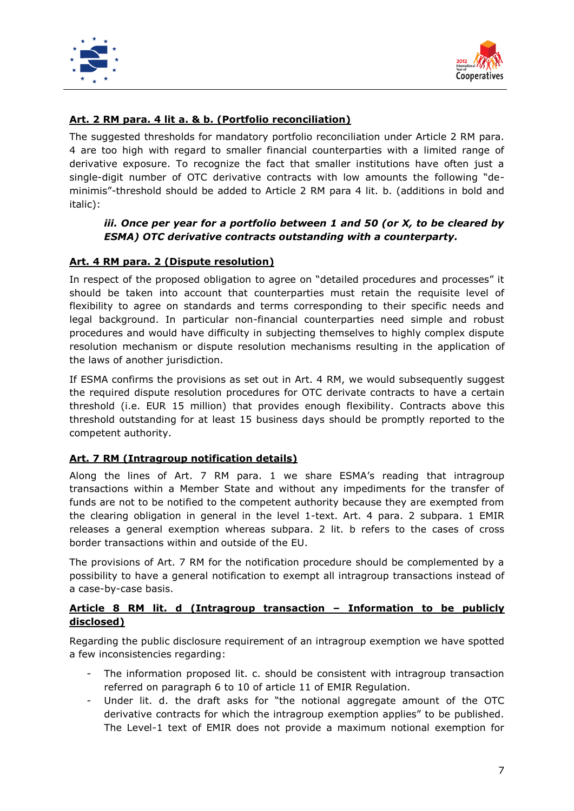



# <span id="page-6-0"></span>**Art. 2 RM para. 4 lit a. & b. (Portfolio reconciliation)**

The suggested thresholds for mandatory portfolio reconciliation under Article 2 RM para. 4 are too high with regard to smaller financial counterparties with a limited range of derivative exposure. To recognize the fact that smaller institutions have often just a single-digit number of OTC derivative contracts with low amounts the following "deminimis"-threshold should be added to Article 2 RM para 4 lit. b. (additions in bold and italic):

# *iii. Once per year for a portfolio between 1 and 50 (or X, to be cleared by ESMA) OTC derivative contracts outstanding with a counterparty.*

# <span id="page-6-1"></span>**Art. 4 RM para. 2 (Dispute resolution)**

In respect of the proposed obligation to agree on "detailed procedures and processes" it should be taken into account that counterparties must retain the requisite level of flexibility to agree on standards and terms corresponding to their specific needs and legal background. In particular non-financial counterparties need simple and robust procedures and would have difficulty in subjecting themselves to highly complex dispute resolution mechanism or dispute resolution mechanisms resulting in the application of the laws of another jurisdiction.

If ESMA confirms the provisions as set out in Art. 4 RM, we would subsequently suggest the required dispute resolution procedures for OTC derivate contracts to have a certain threshold (i.e. EUR 15 million) that provides enough flexibility. Contracts above this threshold outstanding for at least 15 business days should be promptly reported to the competent authority.

# <span id="page-6-2"></span>**Art. 7 RM (Intragroup notification details)**

Along the lines of Art. 7 RM para. 1 we share ESMA's reading that intragroup transactions within a Member State and without any impediments for the transfer of funds are not to be notified to the competent authority because they are exempted from the clearing obligation in general in the level 1-text. Art. 4 para. 2 subpara. 1 EMIR releases a general exemption whereas subpara. 2 lit. b refers to the cases of cross border transactions within and outside of the EU.

The provisions of Art. 7 RM for the notification procedure should be complemented by a possibility to have a general notification to exempt all intragroup transactions instead of a case-by-case basis.

# **Article 8 RM lit. d (Intragroup transaction – Information to be publicly disclosed)**

Regarding the public disclosure requirement of an intragroup exemption we have spotted a few inconsistencies regarding:

- The information proposed lit. c. should be consistent with intragroup transaction referred on paragraph 6 to 10 of article 11 of EMIR Regulation.
- Under lit. d. the draft asks for "the notional aggregate amount of the OTC derivative contracts for which the intragroup exemption applies" to be published. The Level-1 text of EMIR does not provide a maximum notional exemption for